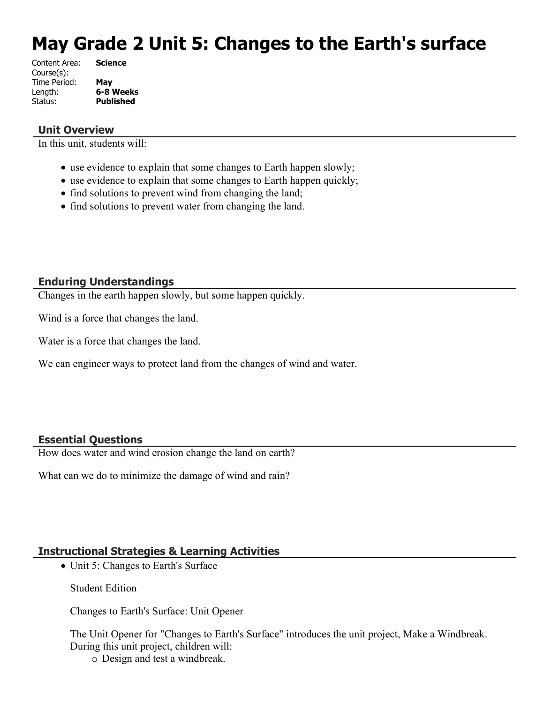# **May Grade 2 Unit 5: Changes to the Earth's surface**

| <b>Science</b>   |
|------------------|
|                  |
| May              |
| 6-8 Weeks        |
| <b>Published</b> |
|                  |

#### **Unit Overview**

In this unit, students will:

- use evidence to explain that some changes to Earth happen slowly;
- use evidence to explain that some changes to Earth happen quickly;
- find solutions to prevent wind from changing the land;
- find solutions to prevent water from changing the land.

#### **Enduring Understandings**

Changes in the earth happen slowly, but some happen quickly.

Wind is a force that changes the land.

Water is a force that changes the land.

We can engineer ways to protect land from the changes of wind and water.

#### **Essential Questions**

How does water and wind erosion change the land on earth?

What can we do to minimize the damage of wind and rain?

## **Instructional Strategies & Learning Activities**

• Unit 5: Changes to Earth's Surface

Student Edition

Changes to Earth's Surface: Unit Opener

The Unit Opener for "Changes to Earth's Surface" introduces the unit project, Make a Windbreak. During this unit project, children will:

o Design and test a windbreak.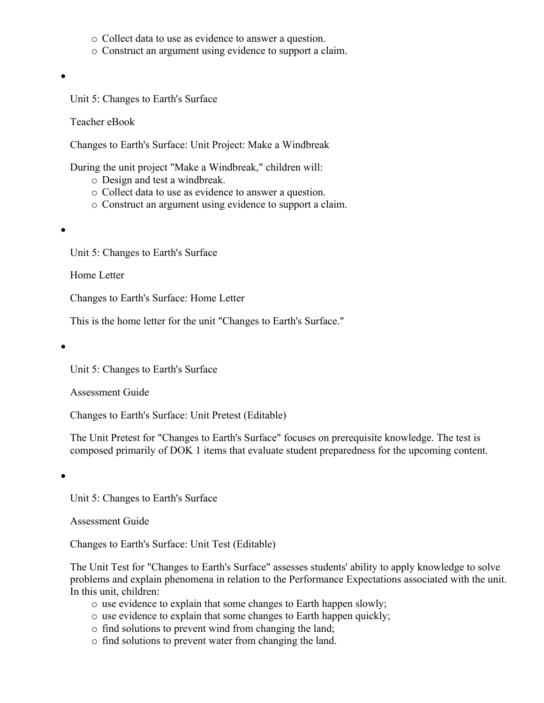- o Collect data to use as evidence to answer a question.
- o Construct an argument using evidence to support a claim.
- $\bullet$

Teacher eBook

Changes to Earth's Surface: Unit Project: Make a Windbreak

During the unit project "Make a Windbreak," children will:

- o Design and test a windbreak.
- o Collect data to use as evidence to answer a question.
- o Construct an argument using evidence to support a claim.

 $\bullet$ 

Unit 5: Changes to Earth's Surface

Home Letter

Changes to Earth's Surface: Home Letter

This is the home letter for the unit "Changes to Earth's Surface."

 $\bullet$ 

Unit 5: Changes to Earth's Surface

Assessment Guide

Changes to Earth's Surface: Unit Pretest (Editable)

The Unit Pretest for "Changes to Earth's Surface" focuses on prerequisite knowledge. The test is composed primarily of DOK 1 items that evaluate student preparedness for the upcoming content.

 $\bullet$ 

Unit 5: Changes to Earth's Surface

Assessment Guide

Changes to Earth's Surface: Unit Test (Editable)

The Unit Test for "Changes to Earth's Surface" assesses students' ability to apply knowledge to solve problems and explain phenomena in relation to the Performance Expectations associated with the unit. In this unit, children:

- o use evidence to explain that some changes to Earth happen slowly;
- o use evidence to explain that some changes to Earth happen quickly;
- o find solutions to prevent wind from changing the land;
- o find solutions to prevent water from changing the land.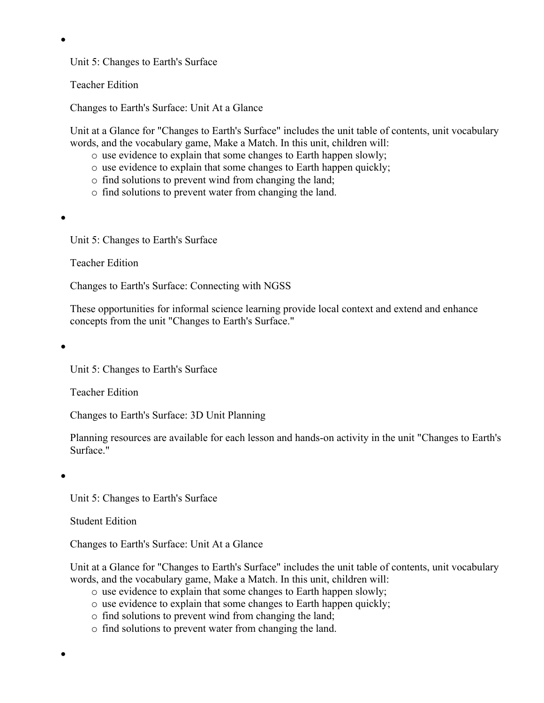Teacher Edition

Changes to Earth's Surface: Unit At a Glance

Unit at a Glance for "Changes to Earth's Surface" includes the unit table of contents, unit vocabulary words, and the vocabulary game, Make a Match. In this unit, children will:

- o use evidence to explain that some changes to Earth happen slowly;
- o use evidence to explain that some changes to Earth happen quickly;
- o find solutions to prevent wind from changing the land;
- o find solutions to prevent water from changing the land.

 $\bullet$ 

 $\bullet$ 

Unit 5: Changes to Earth's Surface

Teacher Edition

Changes to Earth's Surface: Connecting with NGSS

These opportunities for informal science learning provide local context and extend and enhance concepts from the unit "Changes to Earth's Surface."

 $\bullet$ 

Unit 5: Changes to Earth's Surface

Teacher Edition

Changes to Earth's Surface: 3D Unit Planning

Planning resources are available for each lesson and hands-on activity in the unit "Changes to Earth's Surface."

 $\bullet$ 

 $\bullet$ 

Unit 5: Changes to Earth's Surface

Student Edition

Changes to Earth's Surface: Unit At a Glance

Unit at a Glance for "Changes to Earth's Surface" includes the unit table of contents, unit vocabulary words, and the vocabulary game, Make a Match. In this unit, children will:

- o use evidence to explain that some changes to Earth happen slowly;
- o use evidence to explain that some changes to Earth happen quickly;
- o find solutions to prevent wind from changing the land;
- o find solutions to prevent water from changing the land.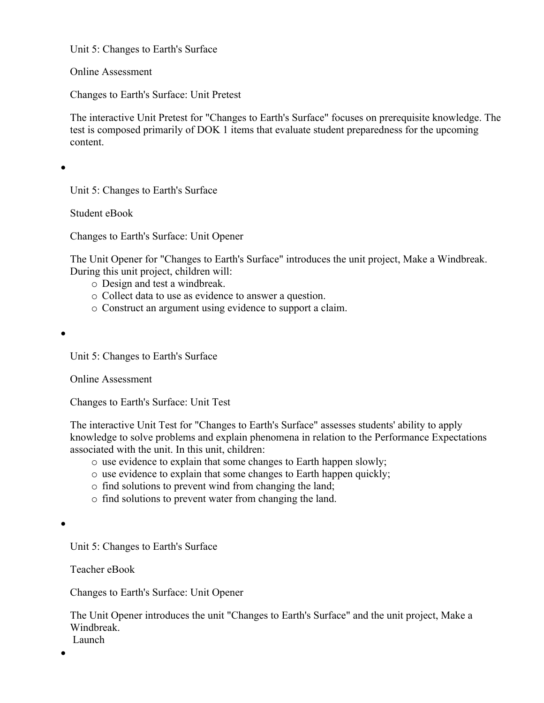Online Assessment

Changes to Earth's Surface: Unit Pretest

The interactive Unit Pretest for "Changes to Earth's Surface" focuses on prerequisite knowledge. The test is composed primarily of DOK 1 items that evaluate student preparedness for the upcoming content.

 $\bullet$ 

Unit 5: Changes to Earth's Surface

Student eBook

Changes to Earth's Surface: Unit Opener

The Unit Opener for "Changes to Earth's Surface" introduces the unit project, Make a Windbreak. During this unit project, children will:

- o Design and test a windbreak.
- o Collect data to use as evidence to answer a question.
- o Construct an argument using evidence to support a claim.

 $\bullet$ 

Unit 5: Changes to Earth's Surface

Online Assessment

Changes to Earth's Surface: Unit Test

The interactive Unit Test for "Changes to Earth's Surface" assesses students' ability to apply knowledge to solve problems and explain phenomena in relation to the Performance Expectations associated with the unit. In this unit, children:

- o use evidence to explain that some changes to Earth happen slowly;
- o use evidence to explain that some changes to Earth happen quickly;
- o find solutions to prevent wind from changing the land;
- o find solutions to prevent water from changing the land.

 $\bullet$ 

Unit 5: Changes to Earth's Surface

Teacher eBook

Changes to Earth's Surface: Unit Opener

The Unit Opener introduces the unit "Changes to Earth's Surface" and the unit project, Make a Windbreak. Launch

 $\bullet$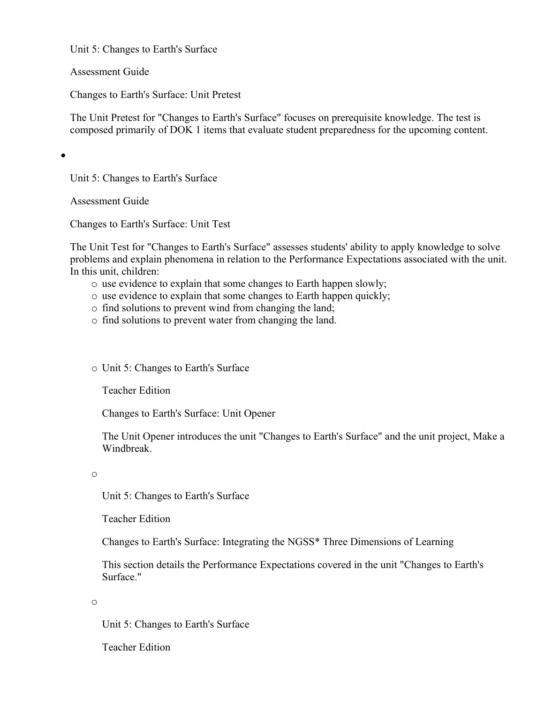Assessment Guide

Changes to Earth's Surface: Unit Pretest

The Unit Pretest for "Changes to Earth's Surface" focuses on prerequisite knowledge. The test is composed primarily of DOK 1 items that evaluate student preparedness for the upcoming content.

 $\bullet$ 

Unit 5: Changes to Earth's Surface

Assessment Guide

Changes to Earth's Surface: Unit Test

The Unit Test for "Changes to Earth's Surface" assesses students' ability to apply knowledge to solve problems and explain phenomena in relation to the Performance Expectations associated with the unit. In this unit, children:

- o use evidence to explain that some changes to Earth happen slowly;
- o use evidence to explain that some changes to Earth happen quickly;
- o find solutions to prevent wind from changing the land;
- o find solutions to prevent water from changing the land.

o Unit 5: Changes to Earth's Surface

Teacher Edition

Changes to Earth's Surface: Unit Opener

The Unit Opener introduces the unit "Changes to Earth's Surface" and the unit project, Make a Windbreak.

o

Unit 5: Changes to Earth's Surface

Teacher Edition

Changes to Earth's Surface: Integrating the NGSS\* Three Dimensions of Learning

This section details the Performance Expectations covered in the unit "Changes to Earth's Surface."

o

Unit 5: Changes to Earth's Surface

Teacher Edition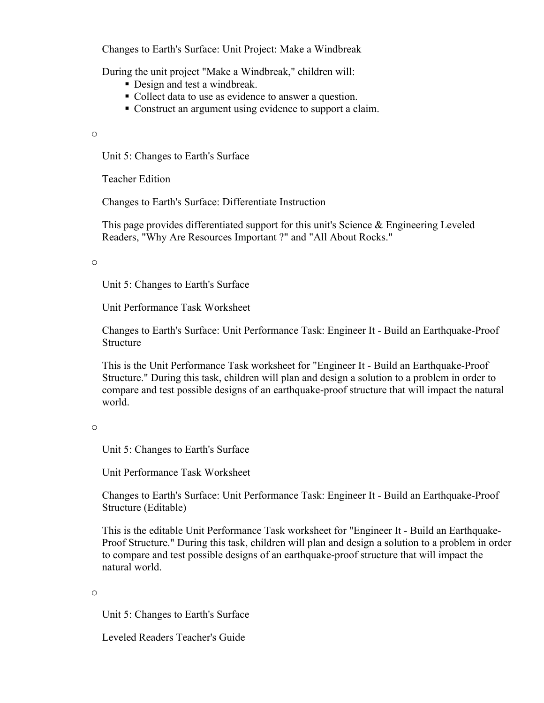Changes to Earth's Surface: Unit Project: Make a Windbreak

During the unit project "Make a Windbreak," children will:

- Design and test a windbreak.
- Collect data to use as evidence to answer a question.
- Construct an argument using evidence to support a claim.

o

Unit 5: Changes to Earth's Surface

Teacher Edition

Changes to Earth's Surface: Differentiate Instruction

This page provides differentiated support for this unit's Science & Engineering Leveled Readers, "Why Are Resources Important ?" and "All About Rocks."

o

Unit 5: Changes to Earth's Surface

Unit Performance Task Worksheet

Changes to Earth's Surface: Unit Performance Task: Engineer It - Build an Earthquake-Proof Structure

This is the Unit Performance Task worksheet for "Engineer It - Build an Earthquake-Proof Structure." During this task, children will plan and design a solution to a problem in order to compare and test possible designs of an earthquake-proof structure that will impact the natural world.

o

Unit 5: Changes to Earth's Surface

Unit Performance Task Worksheet

Changes to Earth's Surface: Unit Performance Task: Engineer It - Build an Earthquake-Proof Structure (Editable)

This is the editable Unit Performance Task worksheet for "Engineer It - Build an Earthquake-Proof Structure." During this task, children will plan and design a solution to a problem in order to compare and test possible designs of an earthquake-proof structure that will impact the natural world.

o

Unit 5: Changes to Earth's Surface

Leveled Readers Teacher's Guide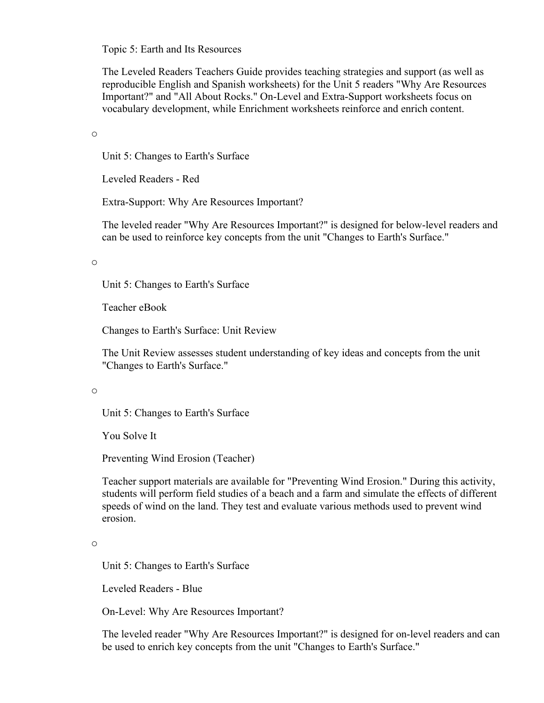Topic 5: Earth and Its Resources

The Leveled Readers Teachers Guide provides teaching strategies and support (as well as reproducible English and Spanish worksheets) for the Unit 5 readers "Why Are Resources Important?" and "All About Rocks." On-Level and Extra-Support worksheets focus on vocabulary development, while Enrichment worksheets reinforce and enrich content.

o

Unit 5: Changes to Earth's Surface

Leveled Readers - Red

Extra-Support: Why Are Resources Important?

The leveled reader "Why Are Resources Important?" is designed for below-level readers and can be used to reinforce key concepts from the unit "Changes to Earth's Surface."

o

Unit 5: Changes to Earth's Surface

Teacher eBook

Changes to Earth's Surface: Unit Review

The Unit Review assesses student understanding of key ideas and concepts from the unit "Changes to Earth's Surface."

o

Unit 5: Changes to Earth's Surface

You Solve It

Preventing Wind Erosion (Teacher)

Teacher support materials are available for "Preventing Wind Erosion." During this activity, students will perform field studies of a beach and a farm and simulate the effects of different speeds of wind on the land. They test and evaluate various methods used to prevent wind erosion.

o

Unit 5: Changes to Earth's Surface

Leveled Readers - Blue

On-Level: Why Are Resources Important?

The leveled reader "Why Are Resources Important?" is designed for on-level readers and can be used to enrich key concepts from the unit "Changes to Earth's Surface."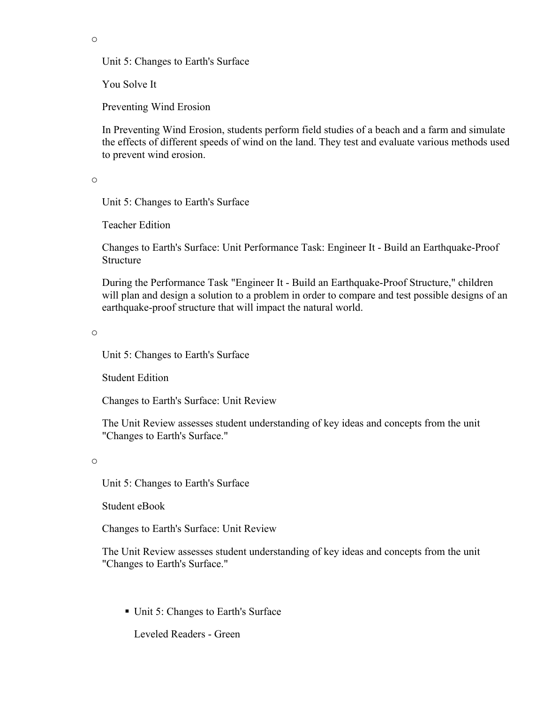o

Unit 5: Changes to Earth's Surface

You Solve It

Preventing Wind Erosion

In Preventing Wind Erosion, students perform field studies of a beach and a farm and simulate the effects of different speeds of wind on the land. They test and evaluate various methods used to prevent wind erosion.

o

Unit 5: Changes to Earth's Surface

Teacher Edition

Changes to Earth's Surface: Unit Performance Task: Engineer It - Build an Earthquake-Proof Structure

During the Performance Task "Engineer It - Build an Earthquake-Proof Structure," children will plan and design a solution to a problem in order to compare and test possible designs of an earthquake-proof structure that will impact the natural world.

o

Unit 5: Changes to Earth's Surface

Student Edition

Changes to Earth's Surface: Unit Review

The Unit Review assesses student understanding of key ideas and concepts from the unit "Changes to Earth's Surface."

o

Unit 5: Changes to Earth's Surface

Student eBook

Changes to Earth's Surface: Unit Review

The Unit Review assesses student understanding of key ideas and concepts from the unit "Changes to Earth's Surface."

■ Unit 5: Changes to Earth's Surface

Leveled Readers - Green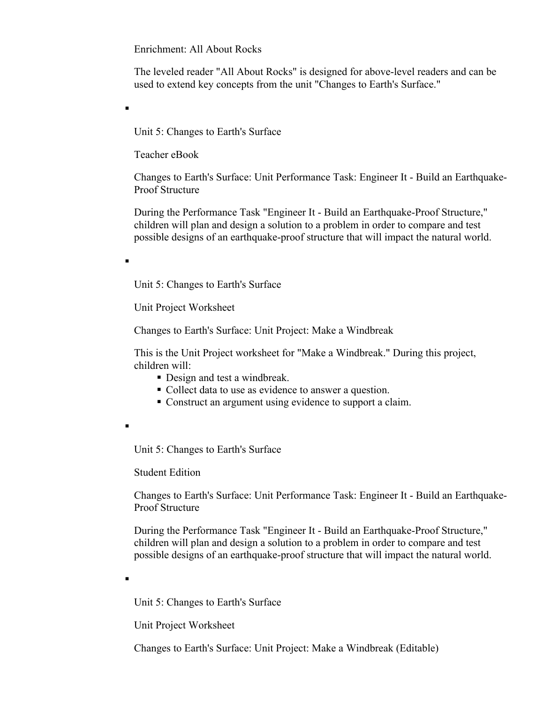Enrichment: All About Rocks

The leveled reader "All About Rocks" is designed for above-level readers and can be used to extend key concepts from the unit "Changes to Earth's Surface."

Unit 5: Changes to Earth's Surface

Teacher eBook

Changes to Earth's Surface: Unit Performance Task: Engineer It - Build an Earthquake-Proof Structure

During the Performance Task "Engineer It - Build an Earthquake-Proof Structure," children will plan and design a solution to a problem in order to compare and test possible designs of an earthquake-proof structure that will impact the natural world.

.

.

Unit 5: Changes to Earth's Surface

Unit Project Worksheet

Changes to Earth's Surface: Unit Project: Make a Windbreak

This is the Unit Project worksheet for "Make a Windbreak." During this project, children will:

- Design and test a windbreak.
- Collect data to use as evidence to answer a question.
- Construct an argument using evidence to support a claim.
- .

Unit 5: Changes to Earth's Surface

Student Edition

Changes to Earth's Surface: Unit Performance Task: Engineer It - Build an Earthquake-Proof Structure

During the Performance Task "Engineer It - Build an Earthquake-Proof Structure," children will plan and design a solution to a problem in order to compare and test possible designs of an earthquake-proof structure that will impact the natural world.

.

Unit 5: Changes to Earth's Surface

Unit Project Worksheet

Changes to Earth's Surface: Unit Project: Make a Windbreak (Editable)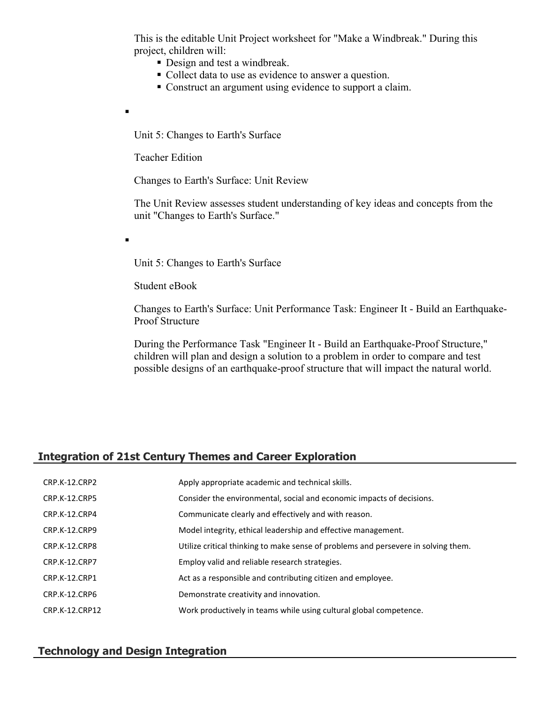This is the editable Unit Project worksheet for "Make a Windbreak." During this project, children will:

- Design and test a windbreak.
- Collect data to use as evidence to answer a question.
- Construct an argument using evidence to support a claim.

Unit 5: Changes to Earth's Surface

Teacher Edition

 $\blacksquare$ 

.

Changes to Earth's Surface: Unit Review

The Unit Review assesses student understanding of key ideas and concepts from the unit "Changes to Earth's Surface."

Unit 5: Changes to Earth's Surface

Student eBook

Changes to Earth's Surface: Unit Performance Task: Engineer It - Build an Earthquake-Proof Structure

During the Performance Task "Engineer It - Build an Earthquake-Proof Structure," children will plan and design a solution to a problem in order to compare and test possible designs of an earthquake-proof structure that will impact the natural world.

# **Integration of 21st Century Themes and Career Exploration**

| CRP.K-12.CRP2        | Apply appropriate academic and technical skills.                                   |
|----------------------|------------------------------------------------------------------------------------|
| <b>CRP.K-12.CRP5</b> | Consider the environmental, social and economic impacts of decisions.              |
| CRP.K-12.CRP4        | Communicate clearly and effectively and with reason.                               |
| CRP.K-12.CRP9        | Model integrity, ethical leadership and effective management.                      |
| CRP.K-12.CRP8        | Utilize critical thinking to make sense of problems and persevere in solving them. |
| <b>CRP.K-12.CRP7</b> | Employ valid and reliable research strategies.                                     |
| CRP.K-12.CRP1        | Act as a responsible and contributing citizen and employee.                        |
| CRP.K-12.CRP6        | Demonstrate creativity and innovation.                                             |
| CRP.K-12.CRP12       | Work productively in teams while using cultural global competence.                 |
|                      |                                                                                    |

#### **Technology and Design Integration**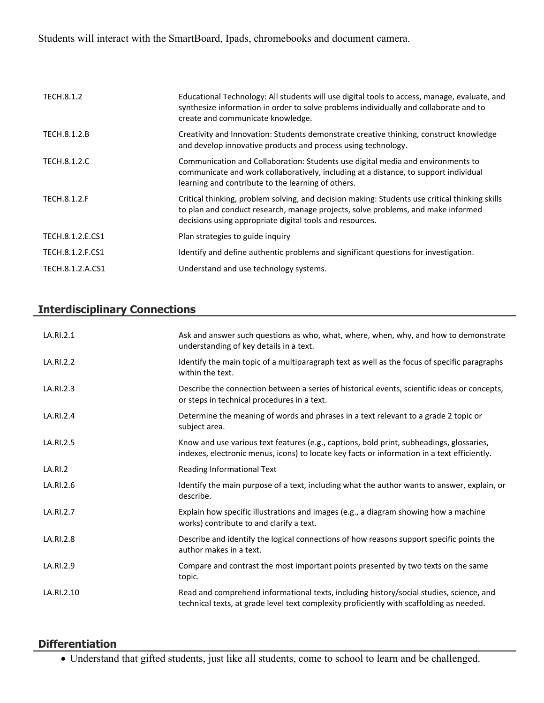Students will interact with the SmartBoard, Ipads, chromebooks and document camera.

| TECH.8.1.2       | Educational Technology: All students will use digital tools to access, manage, evaluate, and<br>synthesize information in order to solve problems individually and collaborate and to<br>create and communicate knowledge.                     |
|------------------|------------------------------------------------------------------------------------------------------------------------------------------------------------------------------------------------------------------------------------------------|
| TECH.8.1.2.B     | Creativity and Innovation: Students demonstrate creative thinking, construct knowledge<br>and develop innovative products and process using technology.                                                                                        |
| TECH.8.1.2.C     | Communication and Collaboration: Students use digital media and environments to<br>communicate and work collaboratively, including at a distance, to support individual<br>learning and contribute to the learning of others.                  |
| TECH.8.1.2.F     | Critical thinking, problem solving, and decision making: Students use critical thinking skills<br>to plan and conduct research, manage projects, solve problems, and make informed<br>decisions using appropriate digital tools and resources. |
| TECH.8.1.2.E.CS1 | Plan strategies to guide inquiry                                                                                                                                                                                                               |
| TECH.8.1.2.F.CS1 | Identify and define authentic problems and significant questions for investigation.                                                                                                                                                            |
| TECH.8.1.2.A.CS1 | Understand and use technology systems.                                                                                                                                                                                                         |

# **Interdisciplinary Connections**

| LA.RI.2.1  | Ask and answer such questions as who, what, where, when, why, and how to demonstrate<br>understanding of key details in a text.                                                         |
|------------|-----------------------------------------------------------------------------------------------------------------------------------------------------------------------------------------|
| LA.RI.2.2  | Identify the main topic of a multiparagraph text as well as the focus of specific paragraphs<br>within the text.                                                                        |
| LA.RI.2.3  | Describe the connection between a series of historical events, scientific ideas or concepts,<br>or steps in technical procedures in a text.                                             |
| LA.RI.2.4  | Determine the meaning of words and phrases in a text relevant to a grade 2 topic or<br>subject area.                                                                                    |
| LA.RI.2.5  | Know and use various text features (e.g., captions, bold print, subheadings, glossaries,<br>indexes, electronic menus, icons) to locate key facts or information in a text efficiently. |
| LA.RI.2    | Reading Informational Text                                                                                                                                                              |
| LA.RI.2.6  | Identify the main purpose of a text, including what the author wants to answer, explain, or<br>describe.                                                                                |
| LA.RI.2.7  | Explain how specific illustrations and images (e.g., a diagram showing how a machine<br>works) contribute to and clarify a text.                                                        |
| LA.RI.2.8  | Describe and identify the logical connections of how reasons support specific points the<br>author makes in a text.                                                                     |
| LA.RI.2.9  | Compare and contrast the most important points presented by two texts on the same<br>topic.                                                                                             |
| LA.RI.2.10 | Read and comprehend informational texts, including history/social studies, science, and<br>technical texts, at grade level text complexity proficiently with scaffolding as needed.     |

# **Differentiation**

Understand that gifted students, just like all students, come to school to learn and be challenged.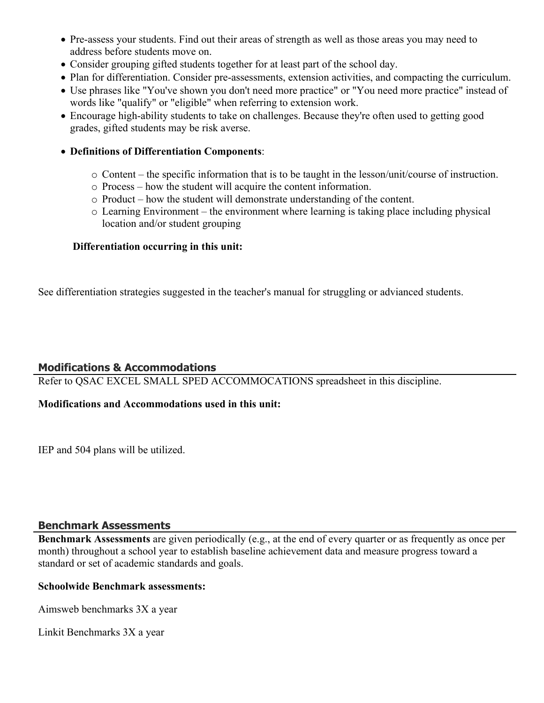- Pre-assess your students. Find out their areas of strength as well as those areas you may need to address before students move on.
- Consider grouping gifted students together for at least part of the school day.
- Plan for differentiation. Consider pre-assessments, extension activities, and compacting the curriculum.
- Use phrases like "You've shown you don't need more practice" or "You need more practice" instead of words like "qualify" or "eligible" when referring to extension work.
- Encourage high-ability students to take on challenges. Because they're often used to getting good grades, gifted students may be risk averse.
- **Definitions of Differentiation Components**:
	- o Content the specific information that is to be taught in the lesson/unit/course of instruction.
	- o Process how the student will acquire the content information.
	- o Product how the student will demonstrate understanding of the content.
	- o Learning Environment the environment where learning is taking place including physical location and/or student grouping

# **Differentiation occurring in this unit:**

See differentiation strategies suggested in the teacher's manual for struggling or advianced students.

# **Modifications & Accommodations**

Refer to QSAC EXCEL SMALL SPED ACCOMMOCATIONS spreadsheet in this discipline.

## **Modifications and Accommodations used in this unit:**

IEP and 504 plans will be utilized.

## **Benchmark Assessments**

**Benchmark Assessments** are given periodically (e.g., at the end of every quarter or as frequently as once per month) throughout a school year to establish baseline achievement data and measure progress toward a standard or set of academic standards and goals.

#### **Schoolwide Benchmark assessments:**

Aimsweb benchmarks 3X a year

Linkit Benchmarks 3X a year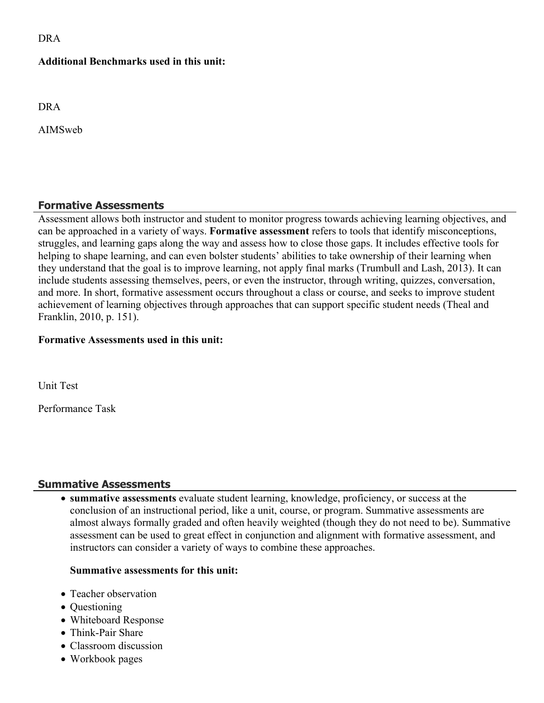DRA

#### **Additional Benchmarks used in this unit:**

DRA

AIMSweb

## **Formative Assessments**

Assessment allows both instructor and student to monitor progress towards achieving learning objectives, and can be approached in a variety of ways. **Formative assessment** refers to tools that identify misconceptions, struggles, and learning gaps along the way and assess how to close those gaps. It includes effective tools for helping to shape learning, and can even bolster students' abilities to take ownership of their learning when they understand that the goal is to improve learning, not apply final marks (Trumbull and Lash, 2013). It can include students assessing themselves, peers, or even the instructor, through writing, quizzes, conversation, and more. In short, formative assessment occurs throughout a class or course, and seeks to improve student achievement of learning objectives through approaches that can support specific student needs (Theal and Franklin, 2010, p. 151).

## **Formative Assessments used in this unit:**

Unit Test

Performance Task

## **Summative Assessments**

 **summative assessments** evaluate student learning, knowledge, proficiency, or success at the conclusion of an instructional period, like a unit, course, or program. Summative assessments are almost always formally graded and often heavily weighted (though they do not need to be). Summative assessment can be used to great effect in conjunction and alignment with formative assessment, and instructors can consider a variety of ways to combine these approaches.

## **Summative assessments for this unit:**

- Teacher observation
- Questioning
- Whiteboard Response
- Think-Pair Share
- Classroom discussion
- Workbook pages